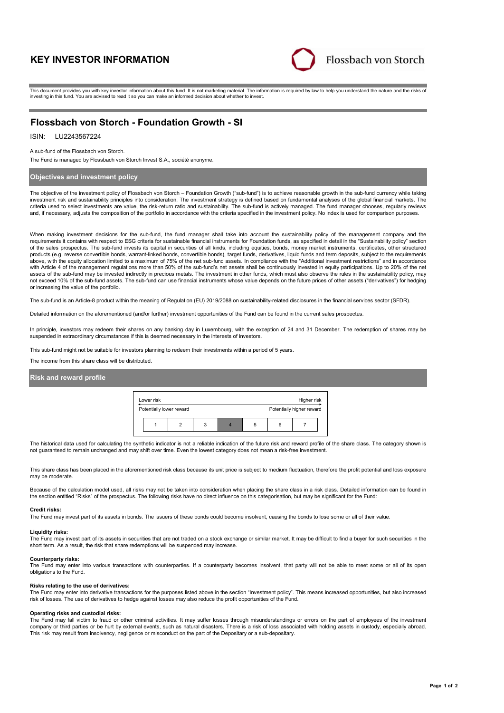# **KEY INVESTOR INFORMATION**



This document provides you with key investor information about this fund. It is not marketing material. The information is required by law to help you understand the nature and the risks of investing in this fund. You are advised to read it so you can make an informed decision about whether to invest.

# **Flossbach von Storch - Foundation Growth - SI**

# ISIN: LU2243567224

#### A sub-fund of the Flossbach von Storch.

The Fund is managed by Flossbach von Storch Invest S.A., société anonyme.

### **Objectives and investment policy**

The objective of the investment policy of Flossbach von Storch – Foundation Growth ("sub-fund") is to achieve reasonable growth in the sub-fund currency while taking investment risk and sustainability principles into consideration. The investment strategy is defined based on fundamental analyses of the global financial markets. The criteria used to select investments are value, the risk-return ratio and sustainability. The sub-fund is actively managed. The fund manager chooses, regularly reviews and, if necessary, adjusts the composition of the portfolio in accordance with the criteria specified in the investment policy. No index is used for comparison purposes.

When making investment decisions for the sub-fund, the fund manager shall take into account the sustainability policy of the management company and the requirements it contains with respect to ESG criteria for sustainable financial instruments for Foundation funds, as specified in detail in the "Sustainability policy" section of the sales prospectus. The sub-fund invests its capital in securities of all kinds, including equities, bonds, money market instruments, certificates, other structured products (e.g. reverse convertible bonds, warrant-linked bonds, convertible bonds), target funds, derivatives, liquid funds and term deposits, subject to the requirements above, with the equity allocation limited to a maximum of 75% of the net sub-fund assets. In compliance with the "Additional investment restrictions" and in accordance with Article 4 of the management regulations more than 50% of the sub-fund's net assets shall be continuously invested in equity participations. Up to 20% of the net assets of the sub-fund may be invested indirectly in precious metals. The investment in other funds, which must also observe the rules in the sustainability policy, may not exceed 10% of the sub-fund assets. The sub-fund can use financial instruments whose value depends on the future prices of other assets ("derivatives") for hedging or increasing the value of the portfolio.

The sub-fund is an Article-8 product within the meaning of Regulation (EU) 2019/2088 on sustainability-related disclosures in the financial services sector (SFDR).

Detailed information on the aforementioned (and/or further) investment opportunities of the Fund can be found in the current sales prospectus.

In principle, investors may redeem their shares on any banking day in Luxembourg, with the exception of 24 and 31 December. The redemption of shares may be suspended in extraordinary circumstances if this is deemed necessary in the interests of investors.

This sub-fund might not be suitable for investors planning to redeem their investments within a period of 5 years.

The income from this share class will be distributed.

#### **Risk and reward profile**



The historical data used for calculating the synthetic indicator is not a reliable indication of the future risk and reward profile of the share class. The category shown is not guaranteed to remain unchanged and may shift over time. Even the lowest category does not mean a risk-free investment.

This share class has been placed in the aforementioned risk class because its unit price is subject to medium fluctuation, therefore the profit potential and loss exposure may be moderate.

Because of the calculation model used, all risks may not be taken into consideration when placing the share class in a risk class. Detailed information can be found in the section entitled "Risks" of the prospectus. The following risks have no direct influence on this categorisation, but may be significant for the Fund:

#### **Credit risks:**

The Fund may invest part of its assets in bonds. The issuers of these bonds could become insolvent, causing the bonds to lose some or all of their value.

### **Liquidity risks:**

The Fund may invest part of its assets in securities that are not traded on a stock exchange or similar market. It may be difficult to find a buyer for such securities in the short term. As a result, the risk that share redemptions will be suspended may increase.

#### **Counterparty risks:**

The Fund may enter into various transactions with counterparties. If a counterparty becomes insolvent, that party will not be able to meet some or all of its open obligations to the Fund.

#### **Risks relating to the use of derivatives:**

The Fund may enter into derivative transactions for the purposes listed above in the section "Investment policy". This means increased opportunities, but also increased risk of losses. The use of derivatives to hedge against losses may also reduce the profit opportunities of the Fund.

### **Operating risks and custodial risks:**

The Fund may fall victim to fraud or other criminal activities. It may suffer losses through misunderstandings or errors on the part of employees of the investment company or third parties or be hurt by external events, such as natural disasters. There is a risk of loss associated with holding assets in custody, especially abroad. This risk may result from insolvency, negligence or misconduct on the part of the Depositary or a sub-depositary.